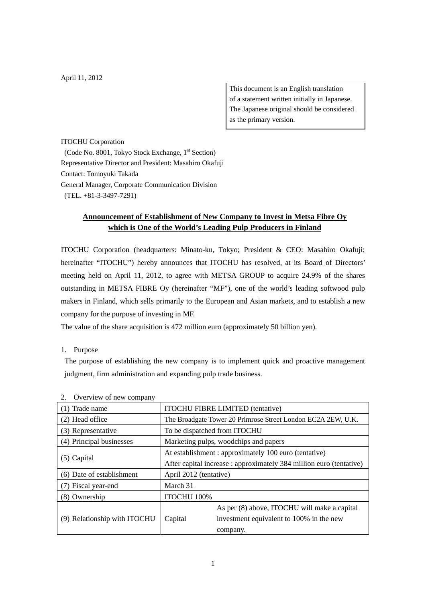This document is an English translation of a statement written initially in Japanese. The Japanese original should be considered as the primary version.

ITOCHU Corporation

(Code No. 8001, Tokyo Stock Exchange, 1<sup>st</sup> Section) Representative Director and President: Masahiro Okafuji Contact: Tomoyuki Takada General Manager, Corporate Communication Division (TEL. +81-3-3497-7291)

# **Announcement of Establishment of New Company to Invest in Metsa Fibre Oy which is One of the World's Leading Pulp Producers in Finland**

ITOCHU Corporation (headquarters: Minato-ku, Tokyo; President & CEO: Masahiro Okafuji; hereinafter "ITOCHU") hereby announces that ITOCHU has resolved, at its Board of Directors' meeting held on April 11, 2012, to agree with METSA GROUP to acquire 24.9% of the shares outstanding in METSA FIBRE Oy (hereinafter "MF"), one of the world's leading softwood pulp makers in Finland, which sells primarily to the European and Asian markets, and to establish a new company for the purpose of investing in MF.

The value of the share acquisition is 472 million euro (approximately 50 billion yen).

#### 1. Purpose

The purpose of establishing the new company is to implement quick and proactive management judgment, firm administration and expanding pulp trade business.

| OVERVIEW OF HEW COMPANY      |                                                                    |                                              |
|------------------------------|--------------------------------------------------------------------|----------------------------------------------|
| (1) Trade name               | <b>ITOCHU FIBRE LIMITED</b> (tentative)                            |                                              |
| (2) Head office              | The Broadgate Tower 20 Primrose Street London EC2A 2EW, U.K.       |                                              |
| (3) Representative           | To be dispatched from ITOCHU                                       |                                              |
| (4) Principal businesses     | Marketing pulps, woodchips and papers                              |                                              |
| $(5)$ Capital                | At establishment : approximately 100 euro (tentative)              |                                              |
|                              | After capital increase: approximately 384 million euro (tentative) |                                              |
| (6) Date of establishment    | April 2012 (tentative)                                             |                                              |
| (7) Fiscal year-end          | March 31                                                           |                                              |
| $(8)$ Ownership              | ITOCHU 100%                                                        |                                              |
| (9) Relationship with ITOCHU | Capital                                                            | As per (8) above, ITOCHU will make a capital |
|                              |                                                                    | investment equivalent to 100% in the new     |
|                              |                                                                    | company.                                     |